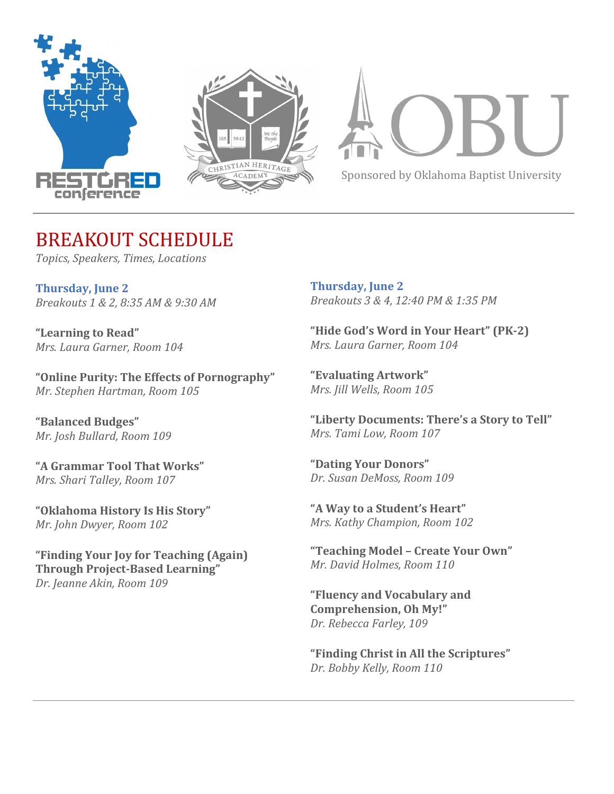



Sponsored by Oklahoma Baptist University

# BREAKOUT SCHEDULE

*Topics, Speakers, Times, Locations*

**Thursday, June 2** *Breakouts 1 & 2, 8:35 AM & 9:30 AM*

**"Learning to Read"** *Mrs. Laura Garner, Room 104*

**"Online Purity: The Effects of Pornography"** *Mr. Stephen Hartman, Room 105*

**"Balanced Budges"** *Mr. Josh Bullard, Room 109*

**"A Grammar Tool That Works"** *Mrs. Shari Talley, Room 107*

**"Oklahoma History Is His Story"** *Mr. John Dwyer, Room 102*

**"Finding Your Joy for Teaching (Again) Through Project-Based Learning"** *Dr. Jeanne Akin, Room 109*

**Thursday, June 2** *Breakouts 3 & 4, 12:40 PM & 1:35 PM*

**"Hide God's Word in Your Heart" (PK-2)** *Mrs. Laura Garner, Room 104*

**"Evaluating Artwork"** *Mrs. Jill Wells, Room 105*

**"Liberty Documents: There's a Story to Tell"** *Mrs. Tami Low, Room 107*

**"Dating Your Donors"** *Dr. Susan DeMoss, Room 109*

**"A Way to a Student's Heart"** *Mrs. Kathy Champion, Room 102*

**"Teaching Model – Create Your Own"** *Mr. David Holmes, Room 110*

**"Fluency and Vocabulary and Comprehension, Oh My!"** *Dr. Rebecca Farley, 109*

**"Finding Christ in All the Scriptures"** *Dr. Bobby Kelly, Room 110*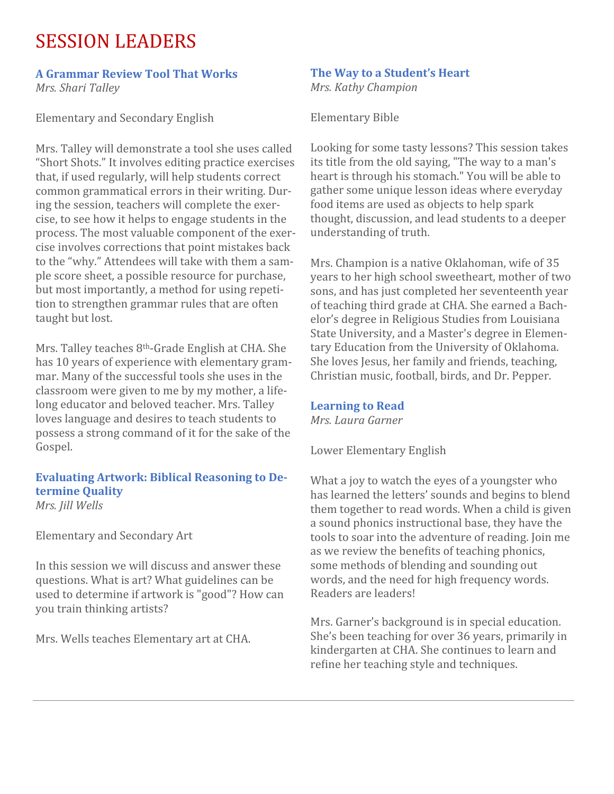# SESSION LEADERS

### **A Grammar Review Tool That Works** *Mrs. Shari Talley*

Elementary and Secondary English

Mrs. Talley will demonstrate a tool she uses called "Short Shots." It involves editing practice exercises that, if used regularly, will help students correct common grammatical errors in their writing. During the session, teachers will complete the exercise, to see how it helps to engage students in the process. The most valuable component of the exercise involves corrections that point mistakes back to the "why." Attendees will take with them a sample score sheet, a possible resource for purchase, but most importantly, a method for using repetition to strengthen grammar rules that are often taught but lost.

Mrs. Talley teaches 8th-Grade English at CHA. She has 10 years of experience with elementary grammar. Many of the successful tools she uses in the classroom were given to me by my mother, a lifelong educator and beloved teacher. Mrs. Talley loves language and desires to teach students to possess a strong command of it for the sake of the Gospel.

#### **Evaluating Artwork: Biblical Reasoning to Determine Quality** *Mrs. Jill Wells*

Elementary and Secondary Art

In this session we will discuss and answer these questions. What is art? What guidelines can be used to determine if artwork is "good"? How can you train thinking artists?

Mrs. Wells teaches Elementary art at CHA.

## **The Way to a Student's Heart**

*Mrs. Kathy Champion*

Elementary Bible

Looking for some tasty lessons? This session takes its title from the old saying, "The way to a man's heart is through his stomach." You will be able to gather some unique lesson ideas where everyday food items are used as objects to help spark thought, discussion, and lead students to a deeper understanding of truth.

Mrs. Champion is a native Oklahoman, wife of 35 years to her high school sweetheart, mother of two sons, and has just completed her seventeenth year of teaching third grade at CHA. She earned a Bachelor's degree in Religious Studies from Louisiana State University, and a Master's degree in Elementary Education from the University of Oklahoma. She loves Jesus, her family and friends, teaching, Christian music, football, birds, and Dr. Pepper.

## **Learning to Read**

*Mrs. Laura Garner*

Lower Elementary English

What a joy to watch the eyes of a youngster who has learned the letters' sounds and begins to blend them together to read words. When a child is given a sound phonics instructional base, they have the tools to soar into the adventure of reading. Join me as we review the benefits of teaching phonics, some methods of blending and sounding out words, and the need for high frequency words. Readers are leaders!

Mrs. Garner's background is in special education. She's been teaching for over 36 years, primarily in kindergarten at CHA. She continues to learn and refine her teaching style and techniques.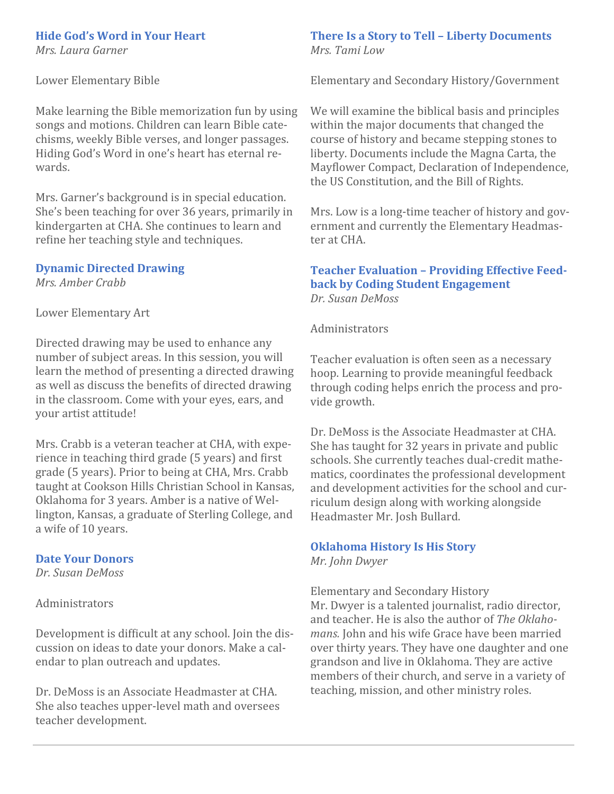#### **Hide God's Word in Your Heart**

*Mrs. Laura Garner*

Lower Elementary Bible

Make learning the Bible memorization fun by using songs and motions. Children can learn Bible catechisms, weekly Bible verses, and longer passages. Hiding God's Word in one's heart has eternal rewards.

Mrs. Garner's background is in special education. She's been teaching for over 36 years, primarily in kindergarten at CHA. She continues to learn and refine her teaching style and techniques.

## **Dynamic Directed Drawing**

*Mrs. Amber Crabb*

Lower Elementary Art

Directed drawing may be used to enhance any number of subject areas. In this session, you will learn the method of presenting a directed drawing as well as discuss the benefits of directed drawing in the classroom. Come with your eyes, ears, and your artist attitude!

Mrs. Crabb is a veteran teacher at CHA, with experience in teaching third grade (5 years) and first grade (5 years). Prior to being at CHA, Mrs. Crabb taught at Cookson Hills Christian School in Kansas, Oklahoma for 3 years. Amber is a native of Wellington, Kansas, a graduate of Sterling College, and a wife of 10 years.

#### **Date Your Donors**

*Dr. Susan DeMoss*

Administrators

Development is difficult at any school. Join the discussion on ideas to date your donors. Make a calendar to plan outreach and updates.

Dr. DeMoss is an Associate Headmaster at CHA. She also teaches upper-level math and oversees teacher development.

#### **There Is a Story to Tell – Liberty Documents** *Mrs. Tami Low*

Elementary and Secondary History/Government

We will examine the biblical basis and principles within the major documents that changed the course of history and became stepping stones to liberty. Documents include the Magna Carta, the Mayflower Compact, Declaration of Independence, the US Constitution, and the Bill of Rights.

Mrs. Low is a long-time teacher of history and government and currently the Elementary Headmaster at CHA.

## **Teacher Evaluation – Providing Effective Feedback by Coding Student Engagement** *Dr. Susan DeMoss*

Administrators

Teacher evaluation is often seen as a necessary hoop. Learning to provide meaningful feedback through coding helps enrich the process and provide growth.

Dr. DeMoss is the Associate Headmaster at CHA. She has taught for 32 years in private and public schools. She currently teaches dual-credit mathematics, coordinates the professional development and development activities for the school and curriculum design along with working alongside Headmaster Mr. Josh Bullard.

## **Oklahoma History Is His Story**

*Mr. John Dwyer*

Elementary and Secondary History Mr. Dwyer is a talented journalist, radio director, and teacher. He is also the author of *The Oklahomans.* John and his wife Grace have been married over thirty years. They have one daughter and one grandson and live in Oklahoma. They are active members of their church, and serve in a variety of teaching, mission, and other ministry roles.